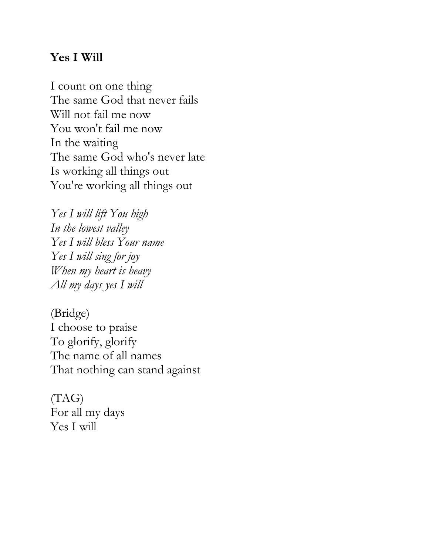### **Yes I Will**

I count on one thing The same God that never fails Will not fail me now You won't fail me now In the waiting The same God who's never late Is working all things out You're working all things out

*Yes I will lift You high In the lowest valley Yes I will bless Your name Yes I will sing for joy When my heart is heavy All my days yes I will*

(Bridge) I choose to praise To glorify, glorify The name of all names That nothing can stand against

(TAG) For all my days Yes I will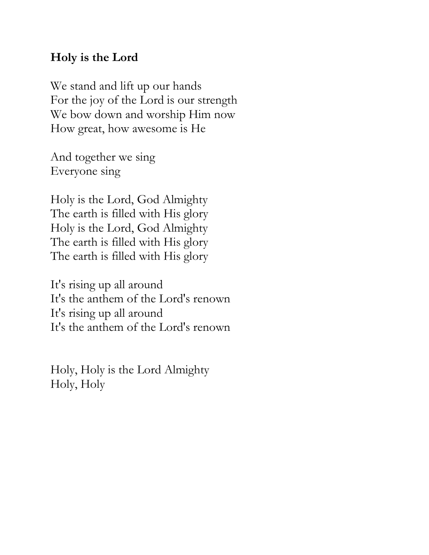# **Holy is the Lord**

We stand and lift up our hands For the joy of the Lord is our strength We bow down and worship Him now How great, how awesome is He

And together we sing Everyone sing

Holy is the Lord, God Almighty The earth is filled with His glory Holy is the Lord, God Almighty The earth is filled with His glory The earth is filled with His glory

It's rising up all around It's the anthem of the Lord's renown It's rising up all around It's the anthem of the Lord's renown

Holy, Holy is the Lord Almighty Holy, Holy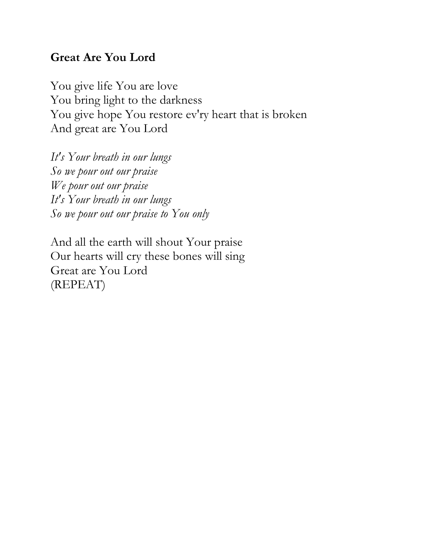# **Great Are You Lord**

You give life You are love You bring light to the darkness You give hope You restore ev'ry heart that is broken And great are You Lord

*It's Your breath in our lungs So we pour out our praise We pour out our praise It's Your breath in our lungs So we pour out our praise to You only*

And all the earth will shout Your praise Our hearts will cry these bones will sing Great are You Lord (REPEAT)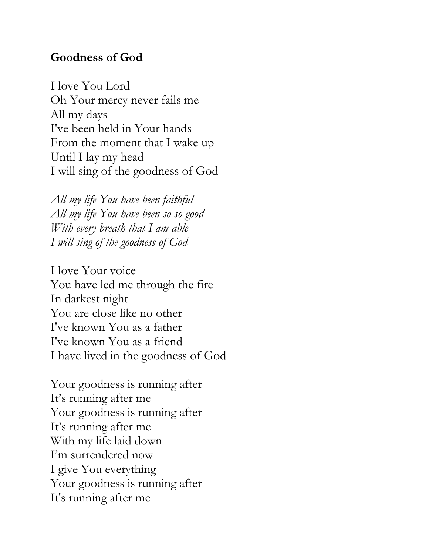## **Goodness of God**

I love You Lord Oh Your mercy never fails me All my days I've been held in Your hands From the moment that I wake up Until I lay my head I will sing of the goodness of God

*All my life You have been faithful All my life You have been so so good With every breath that I am able I will sing of the goodness of God*

I love Your voice You have led me through the fire In darkest night You are close like no other I've known You as a father I've known You as a friend I have lived in the goodness of God

Your goodness is running after It's running after me Your goodness is running after It's running after me With my life laid down I'm surrendered now I give You everything Your goodness is running after It's running after me